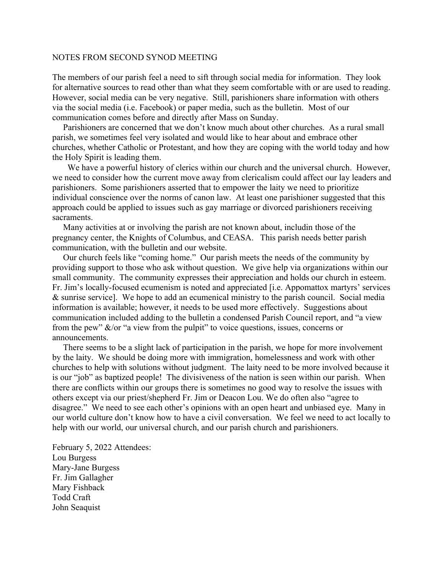## NOTES FROM SECOND SYNOD MEETING

The members of our parish feel a need to sift through social media for information. They look for alternative sources to read other than what they seem comfortable with or are used to reading. However, social media can be very negative. Still, parishioners share information with others via the social media (i.e. Facebook) or paper media, such as the bulletin. Most of our communication comes before and directly after Mass on Sunday.

 Parishioners are concerned that we don't know much about other churches. As a rural small parish, we sometimes feel very isolated and would like to hear about and embrace other churches, whether Catholic or Protestant, and how they are coping with the world today and how the Holy Spirit is leading them.

 We have a powerful history of clerics within our church and the universal church. However, we need to consider how the current move away from clericalism could affect our lay leaders and parishioners. Some parishioners asserted that to empower the laity we need to prioritize individual conscience over the norms of canon law. At least one parishioner suggested that this approach could be applied to issues such as gay marriage or divorced parishioners receiving sacraments.

 Many activities at or involving the parish are not known about, includin those of the pregnancy center, the Knights of Columbus, and CEASA. This parish needs better parish communication, with the bulletin and our website.

 Our church feels like "coming home." Our parish meets the needs of the community by providing support to those who ask without question. We give help via organizations within our small community. The community expresses their appreciation and holds our church in esteem. Fr. Jim's locally-focused ecumenism is noted and appreciated [i.e. Appomattox martyrs' services & sunrise service]. We hope to add an ecumenical ministry to the parish council. Social media information is available; however, it needs to be used more effectively. Suggestions about communication included adding to the bulletin a condensed Parish Council report, and "a view from the pew"  $\&$ /or "a view from the pulpit" to voice questions, issues, concerns or announcements.

 There seems to be a slight lack of participation in the parish, we hope for more involvement by the laity. We should be doing more with immigration, homelessness and work with other churches to help with solutions without judgment. The laity need to be more involved because it is our "job" as baptized people! The divisiveness of the nation is seen within our parish. When there are conflicts within our groups there is sometimes no good way to resolve the issues with others except via our priest/shepherd Fr. Jim or Deacon Lou. We do often also "agree to disagree." We need to see each other's opinions with an open heart and unbiased eye. Many in our world culture don't know how to have a civil conversation. We feel we need to act locally to help with our world, our universal church, and our parish church and parishioners.

February 5, 2022 Attendees: Lou Burgess Mary-Jane Burgess Fr. Jim Gallagher Mary Fishback Todd Craft John Seaquist